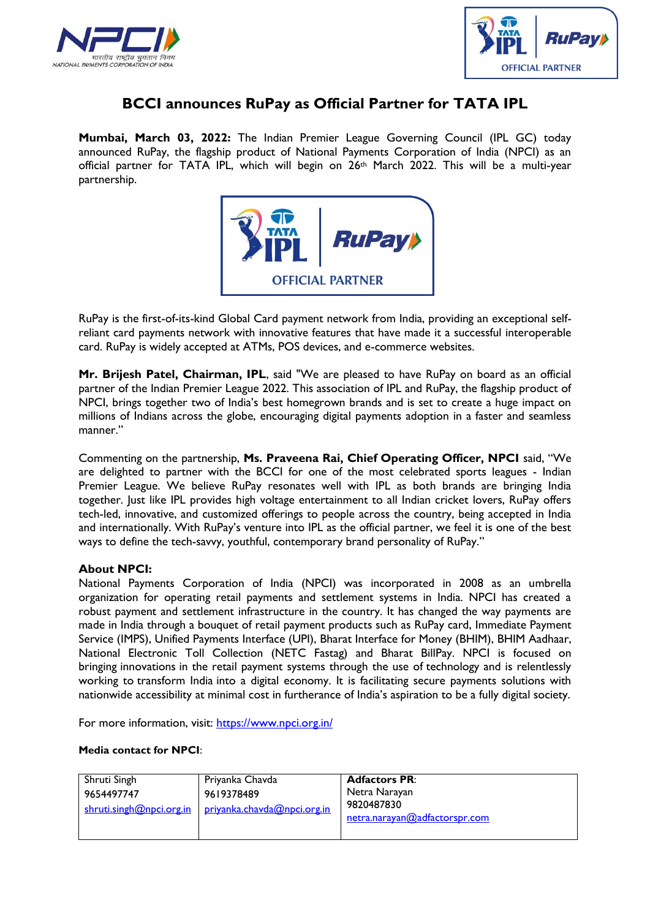



## **BCCI announces RuPay as Official Partner for TATA IPL**

**Mumbai, March 03, 2022:** The Indian Premier League Governing Council (IPL GC) today announced RuPay, the flagship product of National Payments Corporation of India (NPCI) as an official partner for TATA IPL, which will begin on 26th March 2022. This will be a multi-year partnership.



RuPay is the first-of-its-kind Global Card payment network from India, providing an exceptional selfreliant card payments network with innovative features that have made it a successful interoperable card. RuPay is widely accepted at ATMs, POS devices, and e-commerce websites.

**Mr. Brijesh Patel, Chairman, IPL**, said "We are pleased to have RuPay on board as an official partner of the Indian Premier League 2022. This association of IPL and RuPay, the flagship product of NPCI, brings together two of India's best homegrown brands and is set to create a huge impact on millions of Indians across the globe, encouraging digital payments adoption in a faster and seamless manner."

Commenting on the partnership, **Ms. Praveena Rai, Chief Operating Officer, NPCI** said, "We are delighted to partner with the BCCI for one of the most celebrated sports leagues - Indian Premier League. We believe RuPay resonates well with IPL as both brands are bringing India together. Just like IPL provides high voltage entertainment to all Indian cricket lovers, RuPay offers tech-led, innovative, and customized offerings to people across the country, being accepted in India and internationally. With RuPay's venture into IPL as the official partner, we feel it is one of the best ways to define the tech-savvy, youthful, contemporary brand personality of RuPay."

## **About NPCI:**

National Payments Corporation of India (NPCI) was incorporated in 2008 as an umbrella organization for operating retail payments and settlement systems in India. NPCI has created a robust payment and settlement infrastructure in the country. It has changed the way payments are made in India through a bouquet of retail payment products such as [RuPay card,](https://www.npci.org.in/product-overview/rupay-product-overview) [Immediate Payment](https://www.npci.org.in/product-overview/imps-product-overview)  [Service \(IMPS\),](https://www.npci.org.in/product-overview/imps-product-overview) [Unified Payments Interface \(UPI\),](https://www.npci.org.in/product-overview/upi-product-overview) [Bharat Interface for Money \(BHIM\),](https://www.npci.org.in/product-overview/bhim-product-overview) [BHIM Aadhaar,](https://www.npci.org.in/product-overview/bhim-aadhaar) [National Electronic Toll Collection \(NETC Fastag\)](https://www.npci.org.in/netc) and [Bharat BillPay.](https://www.npci.org.in/product-overview/bharat-billpay-product-overview) NPCI is focused on bringing innovations in the retail payment systems through the use of technology and is relentlessly working to transform India into a digital economy. It is facilitating secure payments solutions with nationwide accessibility at minimal cost in furtherance of India's aspiration to be a fully digital society.

For more information, visit:<https://www.npci.org.in/>

## **Media contact for NPCI**:

| Shruti Singh<br>9654497747<br>shruti.singh@npci.org.in | Priyanka Chavda<br>9619378489<br>privanka.chavda@npci.org.in | <b>Adfactors PR:</b><br>Netra Narayan<br>9820487830<br>netra.narayan@adfactorspr.com |
|--------------------------------------------------------|--------------------------------------------------------------|--------------------------------------------------------------------------------------|
|--------------------------------------------------------|--------------------------------------------------------------|--------------------------------------------------------------------------------------|